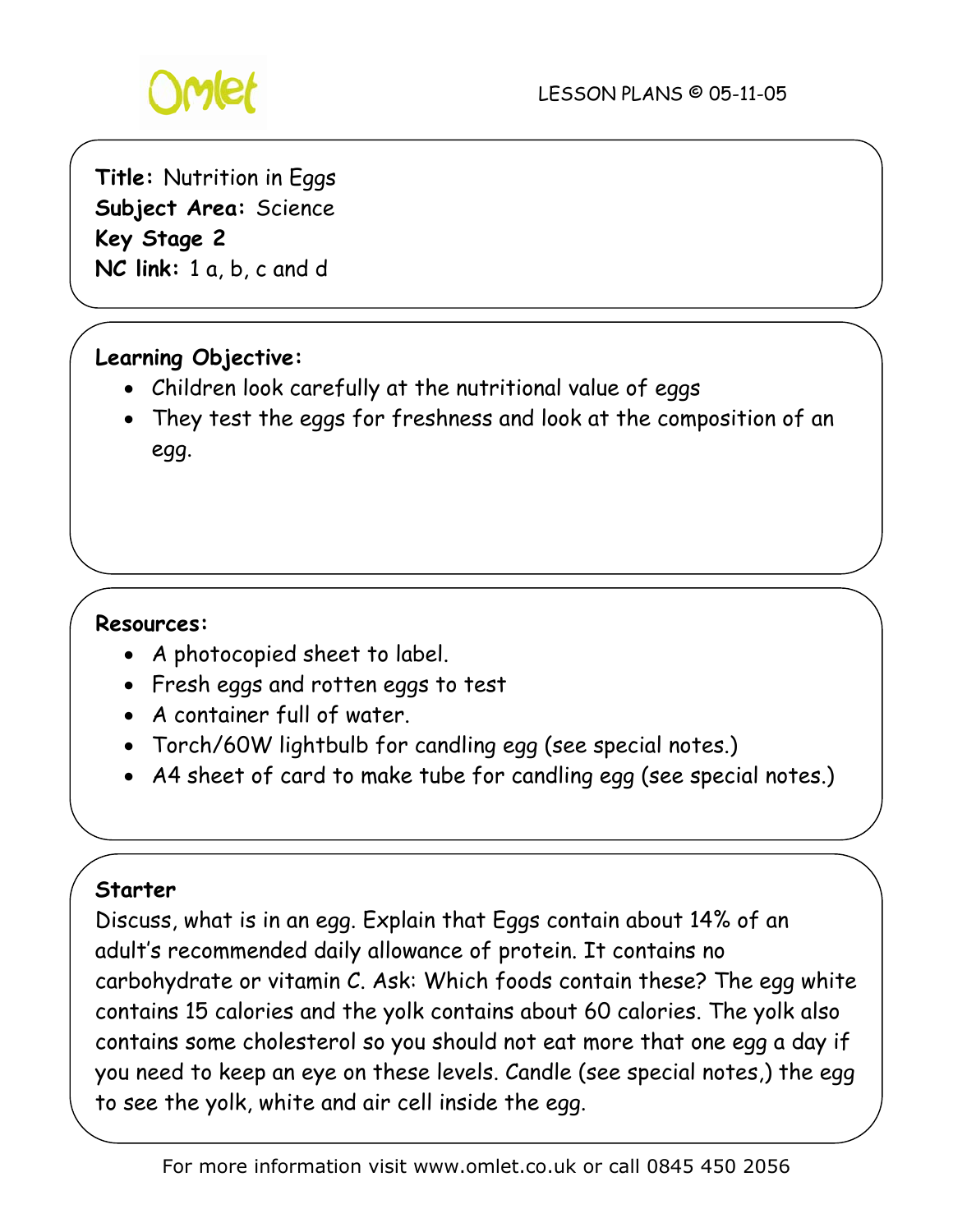

**Title:** Nutrition in Eggs **Subject Area:** Science **Key Stage 2 NC link:** 1 a, b, c and d

# **Learning Objective:**

- Children look carefully at the nutritional value of eggs
- They test the eggs for freshness and look at the composition of an egg.

## **Resources:**

- A photocopied sheet to label.
- Fresh eggs and rotten eggs to test
- A container full of water.
- Torch/60W lightbulb for candling egg (see special notes.)
- A4 sheet of card to make tube for candling egg (see special notes.)

## **Starter**

Discuss, what is in an egg. Explain that Eggs contain about 14% of an adult's recommended daily allowance of protein. It contains no carbohydrate or vitamin C. Ask: Which foods contain these? The egg white contains 15 calories and the yolk contains about 60 calories. The yolk also contains some cholesterol so you should not eat more that one egg a day if you need to keep an eye on these levels. Candle (see special notes,) the egg to see the yolk, white and air cell inside the egg.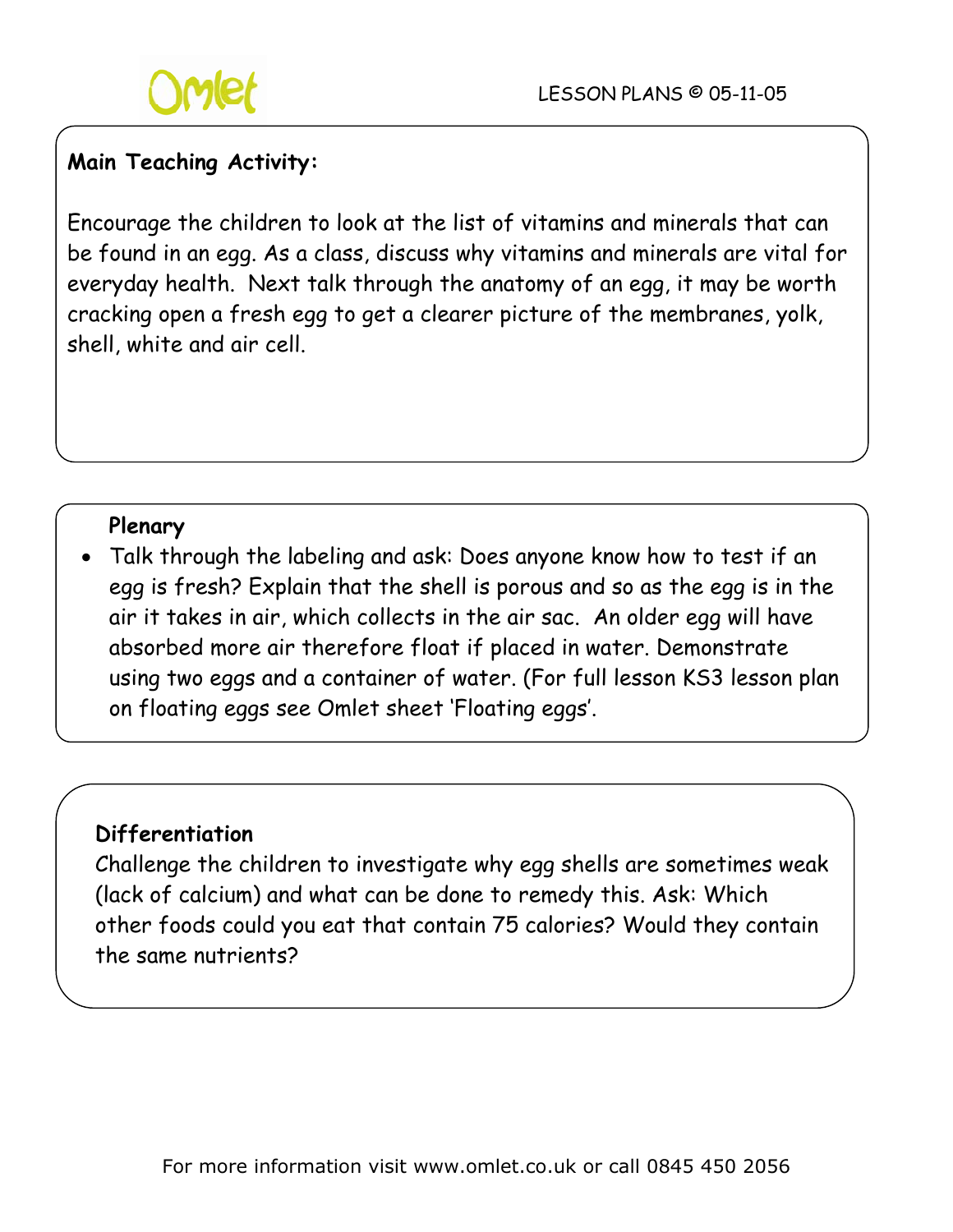

# **Main Teaching Activity:**

Encourage the children to look at the list of vitamins and minerals that can be found in an egg. As a class, discuss why vitamins and minerals are vital for everyday health. Next talk through the anatomy of an egg, it may be worth cracking open a fresh egg to get a clearer picture of the membranes, yolk, shell, white and air cell.

#### **Plenary**

• Talk through the labeling and ask: Does anyone know how to test if an egg is fresh? Explain that the shell is porous and so as the egg is in the air it takes in air, which collects in the air sac. An older egg will have absorbed more air therefore float if placed in water. Demonstrate using two eggs and a container of water. (For full lesson KS3 lesson plan on floating eggs see Omlet sheet 'Floating eggs'.

## **Differentiation**

Challenge the children to investigate why egg shells are sometimes weak (lack of calcium) and what can be done to remedy this. Ask: Which other foods could you eat that contain 75 calories? Would they contain the same nutrients?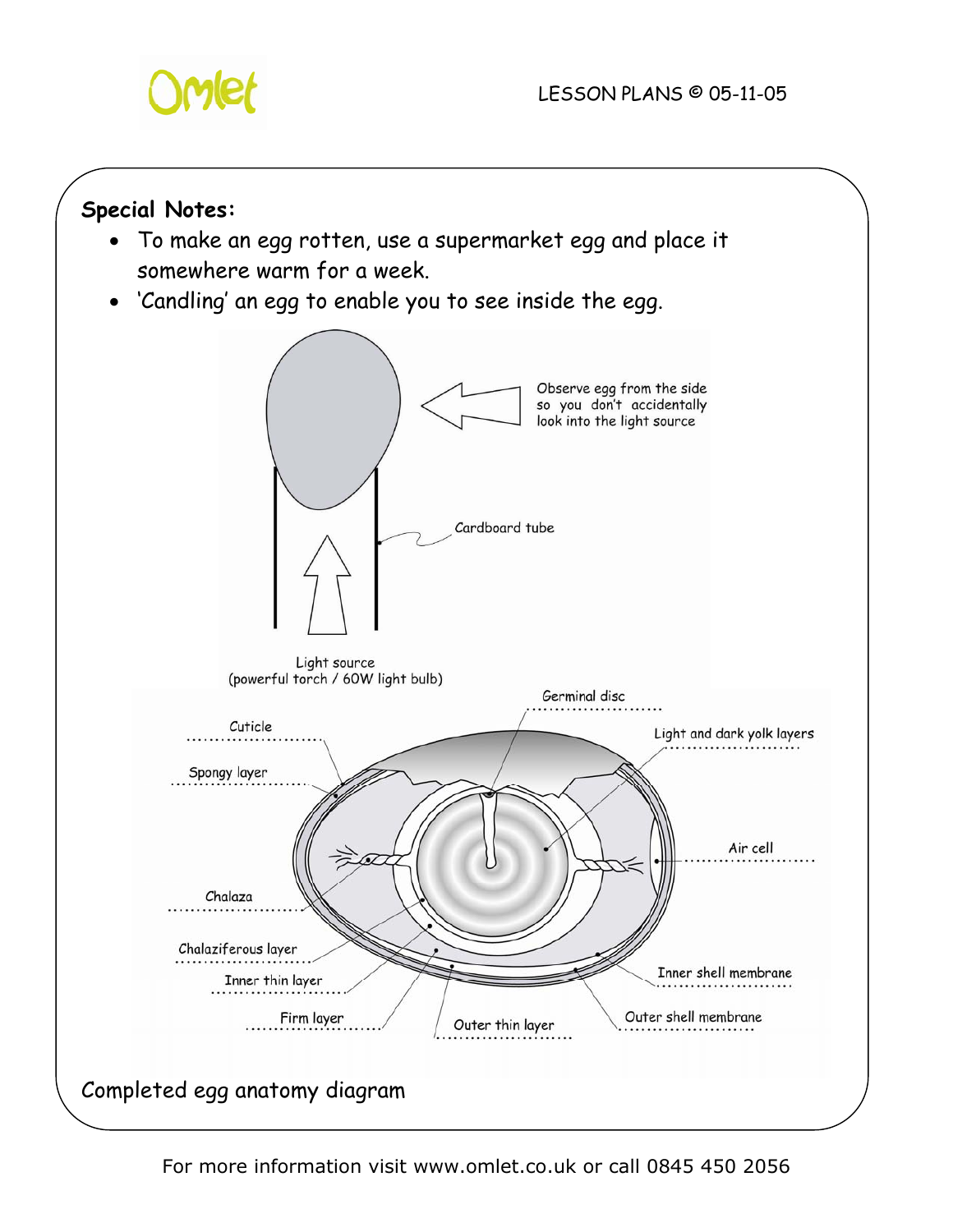

## **Special Notes:**

- To make an egg rotten, use a supermarket egg and place it somewhere warm for a week.
- 'Candling' an egg to enable you to see inside the egg.